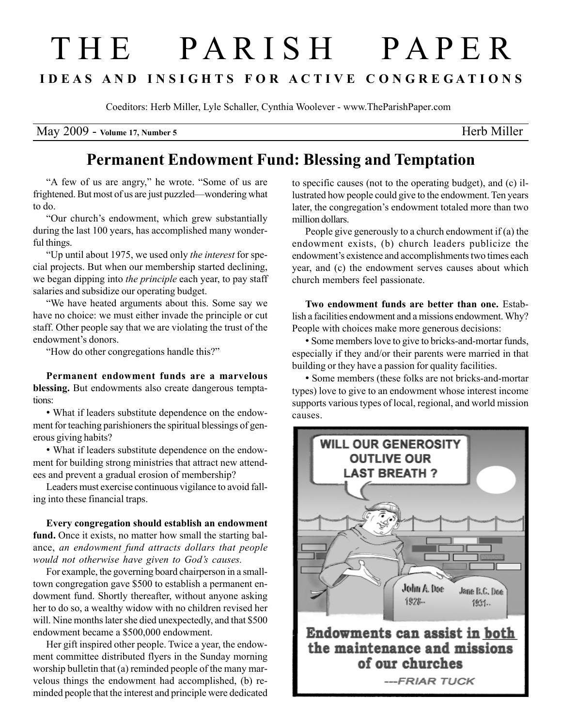## T H E P A R I S H P A P E R I D E A S A N D I N S I G H T S F O R A C T I V E C O N G R E G A T I O N S

Coeditors: Herb Miller, Lyle Schaller, Cynthia Woolever - www.TheParishPaper.com

May 2009 - Volume 17, Number 5 Herb Miller

## Permanent Endowment Fund: Blessing and Temptation

"A few of us are angry," he wrote. "Some of us are frightened. But most of us are just puzzled—wondering what to do.

"Our church's endowment, which grew substantially during the last 100 years, has accomplished many wonderful things.

"Up until about 1975, we used only the interest for special projects. But when our membership started declining, we began dipping into *the principle* each year, to pay staff salaries and subsidize our operating budget.

"We have heated arguments about this. Some say we have no choice: we must either invade the principle or cut staff. Other people say that we are violating the trust of the endowment's donors.

"How do other congregations handle this?"

Permanent endowment funds are a marvelous blessing. But endowments also create dangerous temptations:

• What if leaders substitute dependence on the endowment for teaching parishioners the spiritual blessings of generous giving habits?

• What if leaders substitute dependence on the endowment for building strong ministries that attract new attendees and prevent a gradual erosion of membership?

Leaders must exercise continuous vigilance to avoid falling into these financial traps.

Every congregation should establish an endowment fund. Once it exists, no matter how small the starting balance, an endowment fund attracts dollars that people would not otherwise have given to God's causes.

For example, the governing board chairperson in a smalltown congregation gave \$500 to establish a permanent endowment fund. Shortly thereafter, without anyone asking her to do so, a wealthy widow with no children revised her will. Nine months later she died unexpectedly, and that \$500 endowment became a \$500,000 endowment.

Her gift inspired other people. Twice a year, the endowment committee distributed flyers in the Sunday morning worship bulletin that (a) reminded people of the many marvelous things the endowment had accomplished, (b) reminded people that the interest and principle were dedicated

to specific causes (not to the operating budget), and (c) illustrated how people could give to the endowment. Ten years later, the congregation's endowment totaled more than two million dollars.

People give generously to a church endowment if (a) the endowment exists, (b) church leaders publicize the endowment's existence and accomplishments two times each year, and (c) the endowment serves causes about which church members feel passionate.

Two endowment funds are better than one. Establish a facilities endowment and a missions endowment. Why? People with choices make more generous decisions:

• Some members love to give to bricks-and-mortar funds, especially if they and/or their parents were married in that building or they have a passion for quality facilities.

• Some members (these folks are not bricks-and-mortar types) love to give to an endowment whose interest income supports various types of local, regional, and world mission causes.